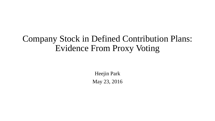### Company Stock in Defined Contribution Plans: Evidence From Proxy Voting

Heejin Park May 23, 2016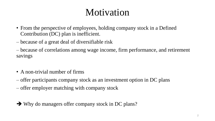# Motivation

- From the perspective of employees, holding company stock in a Defined Contribution (DC) plan is inefficient.
- because of a great deal of diversifiable risk
- because of correlations among wage income, firm performance, and retirement savings
- A non-trivial number of firms
- offer participants company stock as an investment option in DC plans
- offer employer matching with company stock

→ Why do managers offer company stock in DC plans?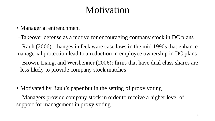# Motivation

- Managerial entrenchment
- –Takeover defense as a motive for encouraging company stock in DC plans
- Rauh (2006): changes in Delaware case laws in the mid 1990s that enhance managerial protection lead to a reduction in employee ownership in DC plans
- Brown, Liang, and Weisbenner (2006): firms that have dual class shares are less likely to provide company stock matches
- Motivated by Rauh's paper but in the setting of proxy voting
- Managers provide company stock in order to receive a higher level of support for management in proxy voting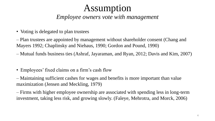### Assumption

### *Employee owners vote with management*

• Voting is delegated to plan trustees

– Plan trustees are appointed by management without shareholder consent (Chang and Mayers 1992; Chaplinsky and Niehaus, 1990; Gordon and Pound, 1990)

- Mutual funds business ties (Ashraf, Jayaraman, and Ryan, 2012; Davis and Kim, 2007)
- Employees' fixed claims on a firm's cash flow

– Maintaining sufficient cashes for wages and benefits is more important than value maximization (Jensen and Meckling, 1979)

– Firms with higher employee ownership are associated with spending less in long-term investment, taking less risk, and growing slowly. (Faleye, Mehrotra, and Morck, 2006)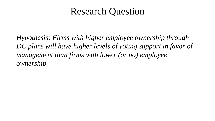## Research Question

*Hypothesis: Firms with higher employee ownership through DC plans will have higher levels of voting support in favor of management than firms with lower (or no) employee ownership*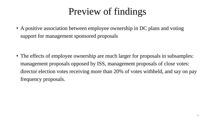# Preview of findings

• A positive association between employee ownership in DC plans and voting support for management sponsored proposals

• The effects of employee ownership are much larger for proposals in subsamples: management proposals opposed by ISS, management proposals of close votes: director election votes receiving more than 20% of votes withheld, and say on pay frequency proposals.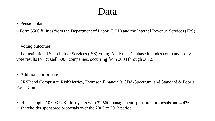### Data

#### • Pension plans

- Form 5500 fillings from the Department of Labor (DOL) and the Internal Revenue Services (IRS)
- Voting outcomes
- the Institutional Shareholder Services (ISS) Voting Analytics Database includes company proxy vote results for Russell 3000 companies, occurring from 2003 through 2012.
- Additional information

– CRSP and Compustat, RiskMetrics, Thomson Financial's CDA/Spectrum, and Standard & Poor's ExecuComp

• Final sample: 10,093 U.S. firm-years with 72,560 management sponsored proposals and 4,436 shareholder sponsored proposals over the 2003 to 2012 period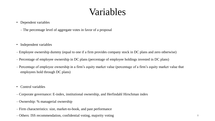### Variables

- Dependent variables
	- The percentage level of aggregate votes in favor of a proposal
- Independent variables
- Employee ownership dummy (equal to one if a firm provides company stock in DC plans and zero otherwise)
- Percentage of employee ownership in DC plans (percentage of employee holdings invested in DC plans)
- Percentage of employee ownership in a firm's equity market value (percentage of a firm's equity market value that employees hold through DC plans)
- Control variables
- Corporate governance: E-index, institutional ownership, and Herfindahl Hirschman index
- Ownership: % managerial ownership
- Firm characteristics: size, market-to-book, and past performance
- Others: ISS recommendation, confidential voting, majority voting 8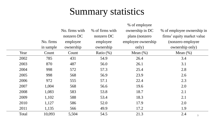## Summary statistics

|       |           | % of employee  |                 |                    |                            |  |
|-------|-----------|----------------|-----------------|--------------------|----------------------------|--|
|       |           | No. firms with | % of firms with | ownership in DC    | % of employee ownership in |  |
|       |           | nonzero DC     | nonzero DC      | plans (nonzero     | firms' equity market value |  |
|       | No. firms | employee       | employee        | employee ownership | (nonzero employee)         |  |
|       | in sample | ownership      | ownership       | only)              | ownership only)            |  |
| Year  | Count     | Count          | Ratio $(\%)$    | Mean $(\% )$       | Mean $(\% )$               |  |
| 2002  | 785       | 431            | 54.9            | 26.4               | 3.4                        |  |
| 2003  | 870       | 487            | 56.0            | 26.1               | 3.1                        |  |
| 2004  | 998       | 572            | 57.3            | 25.4               | 2.8                        |  |
| 2005  | 998       | 568            | 56.9            | 23.9               | 2.6                        |  |
| 2006  | 972       | 555            | 57.1            | 22.4               | 2.3                        |  |
| 2007  | 1,004     | 568            | 56.6            | 19.6               | 2.0                        |  |
| 2008  | 1,083     | 583            | 53.8            | 18.7               | 2.1                        |  |
| 2009  | 1,102     | 588            | 53.4            | 18.3               | 2.1                        |  |
| 2010  | 1,127     | 586            | 52.0            | 17.9               | 2.0                        |  |
| 2011  | 1,135     | 566            | 49.9            | 17.2               | 1.9                        |  |
| Total | 10,093    | 5,504          | 54.5            | 21.3               | 2.4<br>$\mathcal G$        |  |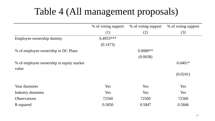# Table 4 (All management proposals)

|                                          | % of voting support | % of voting support | % of voting support |
|------------------------------------------|---------------------|---------------------|---------------------|
|                                          | (1)                 | (2)                 | (3)                 |
| Employee ownership dummy                 | $0.4953***$         |                     |                     |
|                                          | (0.1473)            |                     |                     |
| % of employee ownership in DC Plans      |                     | $0.0080**$          |                     |
|                                          |                     | (0.0038)            |                     |
| % of employee ownership in equity market |                     |                     | $0.0401*$           |
| value                                    |                     |                     |                     |
|                                          |                     |                     | (0.0241)            |
|                                          |                     |                     |                     |
| Year dummies                             | Yes                 | Yes                 | Yes                 |
| <b>Industry dummies</b>                  | Yes                 | Yes                 | Yes                 |
| <b>Observations</b>                      | 72560               | 72560               | 72560               |
| R-squared                                | 0.5850              | 0.5847              | 0.5846              |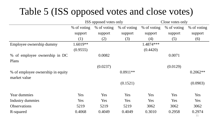# Table 5 (ISS opposed votes and close votes)

|                                   | ISS opposed votes only |             |             | Close votes only |             |              |
|-----------------------------------|------------------------|-------------|-------------|------------------|-------------|--------------|
|                                   | % of voting            | % of voting | % of voting | % of voting      | % of voting | % of voting  |
|                                   | support                | support     | support     | support          | support     | support      |
|                                   | (1)                    | (2)         | (3)         | (4)              | (5)         | (6)          |
| Employee ownership dummy          | 1.6019**               |             |             | 1.4874 ***       |             |              |
|                                   | (0.9555)               |             |             | (0.4420)         |             |              |
| % of employee ownership in DC     |                        | 0.0082      |             |                  | 0.0071      |              |
| Plans                             |                        |             |             |                  |             |              |
|                                   |                        | (0.0237)    |             |                  | (0.0129)    |              |
| % of employee ownership in equity |                        |             | $0.0911**$  |                  |             | $0.2062**$   |
| market value                      |                        |             |             |                  |             |              |
|                                   |                        |             | (0.1521)    |                  |             | (0.0903)     |
| Year dummies                      | Yes                    | Yes         | Yes         | Yes              | Yes         | Yes          |
| Industry dummies                  | <b>Yes</b>             | Yes         | Yes         | Yes              | Yes         | Yes          |
| <b>Observations</b>               | 5219                   | 5219        | 5219        | 3062             | 3062        | 3062         |
| R-squared                         | 0.4068                 | 0.4049      | 0.4049      | 0.3010           | 0.2958      | 0.2974<br>11 |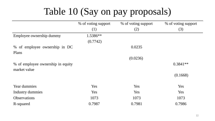# Table 10 (Say on pay proposals)

|                                   | % of voting support | % of voting support | % of voting support |
|-----------------------------------|---------------------|---------------------|---------------------|
|                                   | (1)                 | (2)                 | (3)                 |
| Employee ownership dummy          | 1.5386**            |                     |                     |
|                                   | (0.7742)            |                     |                     |
| % of employee ownership in DC     |                     | 0.0235              |                     |
| Plans                             |                     |                     |                     |
|                                   |                     | (0.0236)            |                     |
| % of employee ownership in equity |                     |                     | $0.3841**$          |
| market value                      |                     |                     |                     |
|                                   |                     |                     | (0.1668)            |
| Year dummies                      | Yes                 | Yes                 | Yes                 |
| Industry dummies                  | Yes                 | Yes                 | Yes                 |
| <b>Observations</b>               | 1073                | 1073                | 1073                |
| R-squared                         | 0.7987              | 0.7981              | 0.7986              |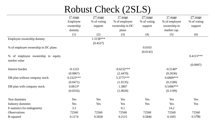| Robust Check (2SLS) |  |  |  |
|---------------------|--|--|--|
|---------------------|--|--|--|

|                                     | 1 <sup>st</sup> stage | 2 <sup>nd</sup> stage | 1 <sup>st</sup> stage | 2 <sup>nd</sup> stage | 1 <sup>st</sup> stage | 2 <sup>nd</sup> stage |
|-------------------------------------|-----------------------|-----------------------|-----------------------|-----------------------|-----------------------|-----------------------|
|                                     | Employee              | % of voting           | % of employee         | % of voting           | % of employee         | % of voting           |
|                                     | ownership             | support               | ownership in DC       | support               | ownership in          | support               |
|                                     | dummy                 |                       | plans                 |                       | market cap.           |                       |
|                                     | (1)                   | (2)                   | (3)                   | (4)                   | (5)                   | (6)                   |
| Employee ownership dummy            |                       | 1.3138***             |                       |                       |                       |                       |
|                                     |                       | (0.4527)              |                       |                       |                       |                       |
| % of employee ownership in DC plans |                       |                       |                       | 0.0103                |                       |                       |
|                                     |                       |                       |                       | (0.0142)              |                       |                       |
| % of employee ownership in equity   |                       |                       |                       |                       |                       | $0.4115***$           |
| market value                        |                       |                       |                       |                       |                       |                       |
|                                     |                       |                       |                       |                       |                       | (0.0997)              |
| Interest burden                     | $-0.1223$             |                       | $-9.6232***$          |                       | $-0.5140*$            |                       |
|                                     | (0.0867)              |                       | (2.4470)              |                       | (0.2636)              |                       |
| DB plan without company stock       | $0.2323***$           |                       | 5.3775***             |                       | $0.6809***$           |                       |
|                                     | (0.0471)              |                       | (1.9135)              |                       | (0.2180)              |                       |
| DB plan with company stock          | $0.0613*$             |                       | 1.3807                |                       | $0.5496***$           |                       |
|                                     | (0.0316)              |                       | (1.0020)              |                       | (0.1199)              |                       |
| Year dummies                        | Yes                   | Yes                   | Yes                   | Yes                   | Yes                   | Yes                   |
| <b>Industry dummies</b>             | Yes                   | Yes                   | Yes                   | Yes                   | Yes                   | Yes                   |
| F-statistics for endogeneity        | 3.3                   |                       | 0.1                   |                       | 14.2                  |                       |
| Observations                        | 72560                 | 72560                 | 72560                 | 72560                 | 72560                 | 72560                 |
| R-squared                           | 0.1174                | 0.5836                | 0.2115                | 0.5846                | 0.1691                | 0.5750                |